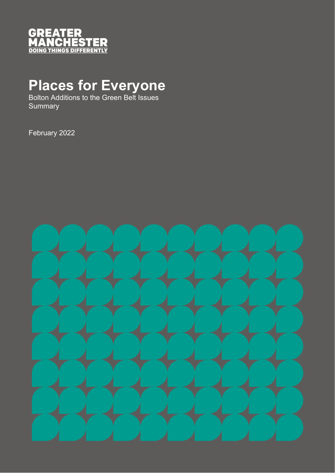

# **Places for Everyone**

Bolton Additions to the Green Belt Issues **Summary** 

February 2022

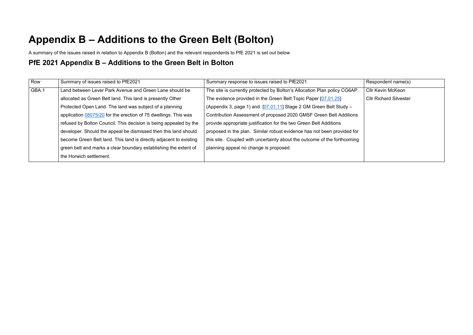# **Appendix B – Additions to the Green Belt (Bolton)**

A summary of the issues raised in relation to Appendix B (Bolton) and the relevant respondents to PfE 2021 is set out below

#### **PfE 2021 Appendix B – Additions to the Green Belt in Bolton**

| Row   | Summary of issues raised to PfE2021                                | Summary response to issues raised to PfE2021                              | Respondent name(s)            |
|-------|--------------------------------------------------------------------|---------------------------------------------------------------------------|-------------------------------|
| GBA.1 | Land between Lever Park Avenue and Green Lane should be            | The site is currently protected by Bolton's Allocation Plan policy CG6AP. | <b>Cllr Kevin McKeon</b>      |
|       | allocated as Green Belt land. This land is presently Other         | The evidence provided in the Green Belt Topic Paper [07.01.25]            | <b>Cllr Richard Silvester</b> |
|       | Protected Open Land. The land was subject of a planning            | (Appendix 3, page 1) and [07.01.11] Stage 2 GM Green Belt Study -         |                               |
|       | application 08075/20 for the erection of 75 dwellings. This was    | Contribution Assessment of proposed 2020 GMSF Green Belt Additions        |                               |
|       | refused by Bolton Council. This decision is being appealed by the  | provide appropriate justification for the two Green Belt Additions        |                               |
|       | developer. Should the appeal be dismissed then this land should    | proposed in the plan. Similar robust evidence has not been provided for   |                               |
|       | become Green Belt land. This land is directly adjacent to existing | this site. Coupled with uncertainty about the outcome of the forthcoming  |                               |
|       | green belt and marks a clear boundary establishing the extent of   | planning appeal no change is proposed.                                    |                               |
|       | the Horwich settlement.                                            |                                                                           |                               |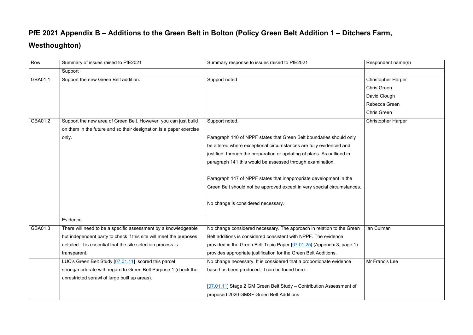## **PfE 2021 Appendix B – Additions to the Green Belt in Bolton (Policy Green Belt Addition 1 – Ditchers Farm, Westhoughton)**

| Row     | Summary of issues raised to PfE2021                                | Summary response to issues raised to PfE2021                            | Respondent name(s)        |
|---------|--------------------------------------------------------------------|-------------------------------------------------------------------------|---------------------------|
|         | Support                                                            |                                                                         |                           |
| GBA01.1 | Support the new Green Belt addition.                               | Support noted                                                           | <b>Christopher Harper</b> |
|         |                                                                    |                                                                         | <b>Chris Green</b>        |
|         |                                                                    |                                                                         | David Clough              |
|         |                                                                    |                                                                         | Rebecca Green             |
|         |                                                                    |                                                                         | <b>Chris Green</b>        |
| GBA01.2 | Support the new area of Green Belt. However, you can just build    | Support noted.                                                          | <b>Christopher Harper</b> |
|         | on them in the future and so their designation is a paper exercise |                                                                         |                           |
|         | only.                                                              | Paragraph 140 of NPPF states that Green Belt boundaries should only     |                           |
|         |                                                                    | be altered where exceptional circumstances are fully evidenced and      |                           |
|         |                                                                    | justified, through the preparation or updating of plans. As outlined in |                           |
|         |                                                                    | paragraph 141 this would be assessed through examination.               |                           |
|         |                                                                    |                                                                         |                           |
|         |                                                                    | Paragraph 147 of NPPF states that inappropriate development in the      |                           |
|         |                                                                    | Green Belt should not be approved except in very special circumstances. |                           |
|         |                                                                    |                                                                         |                           |
|         |                                                                    | No change is considered necessary.                                      |                           |
|         |                                                                    |                                                                         |                           |
|         | Evidence                                                           |                                                                         |                           |
| GBA01.3 | There will need to be a specific assessment by a knowledgeable     | No change considered necessary. The approach in relation to the Green   | Ian Culman                |
|         | but independent party to check if this site will meet the purposes | Belt additions is considered consistent with NPPF. The evidence         |                           |
|         | detailed. It is essential that the site selection process is       | provided in the Green Belt Topic Paper [07.01.25] (Appendix 3, page 1)  |                           |
|         | transparent.                                                       | provides appropriate justification for the Green Belt Additions.        |                           |
|         | LUC's Green Belt Study [07.01.11] scored this parcel               | No change necessary. It is considered that a proportionate evidence     | Mr Francis Lee            |
|         | strong/moderate with regard to Green Belt Purpose 1 (check the     | base has been produced. It can be found here:                           |                           |
|         | unrestricted sprawl of large built up areas).                      |                                                                         |                           |
|         |                                                                    | [07.01.11] Stage 2 GM Green Belt Study – Contribution Assessment of     |                           |
|         |                                                                    | proposed 2020 GMSF Green Belt Additions                                 |                           |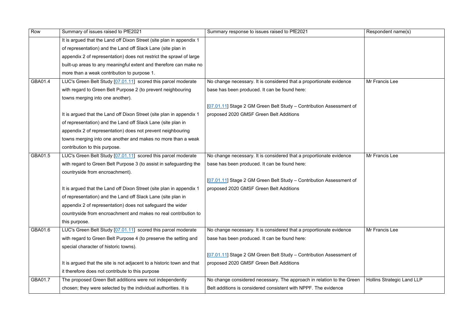| Row     | Summary of issues raised to PfE2021                                    | Summary response to issues raised to PfE2021                          | Respondent name(s)         |
|---------|------------------------------------------------------------------------|-----------------------------------------------------------------------|----------------------------|
|         | It is argued that the Land off Dixon Street (site plan in appendix 1   |                                                                       |                            |
|         | of representation) and the Land off Slack Lane (site plan in           |                                                                       |                            |
|         | appendix 2 of representation) does not restrict the sprawl of large    |                                                                       |                            |
|         | built-up areas to any meaningful extent and therefore can make no      |                                                                       |                            |
|         | more than a weak contribution to purpose 1.                            |                                                                       |                            |
| GBA01.4 | LUC's Green Belt Study [07.01.11] scored this parcel moderate          | No change necessary. It is considered that a proportionate evidence   | Mr Francis Lee             |
|         | with regard to Green Belt Purpose 2 (to prevent neighbouring           | base has been produced. It can be found here:                         |                            |
|         | towns merging into one another).                                       |                                                                       |                            |
|         |                                                                        | [07.01.11] Stage 2 GM Green Belt Study – Contribution Assessment of   |                            |
|         | It is argued that the Land off Dixon Street (site plan in appendix 1   | proposed 2020 GMSF Green Belt Additions                               |                            |
|         | of representation) and the Land off Slack Lane (site plan in           |                                                                       |                            |
|         | appendix 2 of representation) does not prevent neighbouring            |                                                                       |                            |
|         | towns merging into one another and makes no more than a weak           |                                                                       |                            |
|         | contribution to this purpose.                                          |                                                                       |                            |
| GBA01.5 | LUC's Green Belt Study [07.01.11] scored this parcel moderate          | No change necessary. It is considered that a proportionate evidence   | Mr Francis Lee             |
|         | with regard to Green Belt Purpose 3 (to assist in safeguarding the     | base has been produced. It can be found here:                         |                            |
|         | countryside from encroachment).                                        |                                                                       |                            |
|         |                                                                        | [07.01.11] Stage 2 GM Green Belt Study – Contribution Assessment of   |                            |
|         | It is argued that the Land off Dixon Street (site plan in appendix 1   | proposed 2020 GMSF Green Belt Additions                               |                            |
|         | of representation) and the Land off Slack Lane (site plan in           |                                                                       |                            |
|         | appendix 2 of representation) does not safeguard the wider             |                                                                       |                            |
|         | countryside from encroachment and makes no real contribution to        |                                                                       |                            |
|         | this purpose.                                                          |                                                                       |                            |
| GBA01.6 | LUC's Green Belt Study [07.01.11] scored this parcel moderate          | No change necessary. It is considered that a proportionate evidence   | Mr Francis Lee             |
|         | with regard to Green Belt Purpose 4 (to preserve the setting and       | base has been produced. It can be found here:                         |                            |
|         | special character of historic towns).                                  |                                                                       |                            |
|         |                                                                        | [07.01.11] Stage 2 GM Green Belt Study - Contribution Assessment of   |                            |
|         | It is argued that the site is not adjacent to a historic town and that | proposed 2020 GMSF Green Belt Additions                               |                            |
|         | it therefore does not contribute to this purpose                       |                                                                       |                            |
| GBA01.7 | The proposed Green Belt additions were not independently               | No change considered necessary. The approach in relation to the Green | Hollins Strategic Land LLP |
|         | chosen; they were selected by the individual authorities. It is        | Belt additions is considered consistent with NPPF. The evidence       |                            |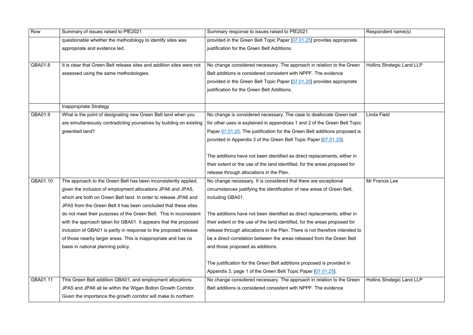| Row      | Summary of issues raised to PfE2021                                   | Summary response to issues raised to PfE2021                                | Respondent name(s)    |
|----------|-----------------------------------------------------------------------|-----------------------------------------------------------------------------|-----------------------|
|          | questionable whether the methodology to identify sites was            | provided in the Green Belt Topic Paper [07.01.25] provides appropriate      |                       |
|          | appropriate and evidence led.                                         | justification for the Green Belt Additions.                                 |                       |
| GBA01.8  | It is clear that Green Belt release sites and addition sites were not | No change considered necessary. The approach in relation to the Green       | Hollins Strategic Lan |
|          | assessed using the same methodologies.                                | Belt additions is considered consistent with NPPF. The evidence             |                       |
|          |                                                                       | provided in the Green Belt Topic Paper [07.01.25] provides appropriate      |                       |
|          |                                                                       | justification for the Green Belt Additions.                                 |                       |
|          | Inappropriate Strategy                                                |                                                                             |                       |
| GBA01.9  | What is the point of designating new Green Belt land when you         | No change is considered necessary. The case to deallocate Green belt        | Linda Field           |
|          | are simultaneously contradicting yourselves by building on existing   | for other uses is explained in appendices 1 and 2 of the Green Belt Topic   |                       |
|          | greenbelt land?                                                       | Paper 07.01.25. The justification for the Green Belt additions proposed is  |                       |
|          |                                                                       | provided in Appendix 3 of the Green Belt Topic Paper [07.01.25].            |                       |
|          |                                                                       | The additions have not been identified as direct replacements, either in    |                       |
|          |                                                                       | their extent or the use of the land identified, for the areas proposed for  |                       |
|          |                                                                       | release through allocations in the Plan.                                    |                       |
| GBA01.10 | The approach to the Green Belt has been inconsistently applied,       | No change necessary. It is considered that there are exceptional            | Mr Francis Lee        |
|          | given the inclusion of employment allocations JPA6 and JPA5,          | circumstances justifying the identification of new areas of Green Belt,     |                       |
|          | which are both on Green Belt land. In order to release JPA6 and       | including GBA01.                                                            |                       |
|          | JPA5 from the Green Belt it has been concluded that these sites       |                                                                             |                       |
|          | do not meet their purposes of the Green Belt. This in inconsistent    | The additions have not been identified as direct replacements, either in    |                       |
|          | with the approach taken for GBA01. It appears that the proposed       | their extent or the use of the land identified, for the areas proposed for  |                       |
|          | inclusion of GBA01 is partly in response to the proposed release      | release through allocations in the Plan. There is not therefore intended to |                       |
|          | of those nearby larger areas. This is inappropriate and has no        | be a direct correlation between the areas released from the Green Belt      |                       |
|          | basis in national planning policy.                                    | and those proposed as additions.                                            |                       |
|          |                                                                       | The justification for the Green Belt additions proposed is provided in      |                       |
|          |                                                                       | Appendix 3, page 1 of the Green Belt Topic Paper [07.01.25].                |                       |
| GBA01.11 | This Green Belt addition GBA01, and employment allocations            | No change considered necessary. The approach in relation to the Green       | Hollins Strategic Lan |
|          | JPA5 and JPA6 all lie within the Wigan Bolton Growth Corridor.        | Belt additions is considered consistent with NPPF. The evidence             |                       |
|          | Given the importance the growth corridor will make to northern        |                                                                             |                       |
|          |                                                                       |                                                                             |                       |

|    | Respondent name(s)                |
|----|-----------------------------------|
|    |                                   |
|    |                                   |
| n  | <b>Hollins Strategic Land LLP</b> |
|    |                                   |
|    |                                   |
|    |                                   |
|    |                                   |
|    |                                   |
|    | <b>Linda Field</b>                |
| İC |                                   |
| is |                                   |
|    |                                   |
|    |                                   |
|    |                                   |
|    |                                   |
|    |                                   |
|    | Mr Francis Lee                    |
|    |                                   |
|    |                                   |
|    |                                   |
|    |                                   |
|    |                                   |
| to |                                   |
|    |                                   |
|    |                                   |
|    |                                   |
|    |                                   |
|    |                                   |
| n  | <b>Hollins Strategic Land LLP</b> |
|    |                                   |
|    |                                   |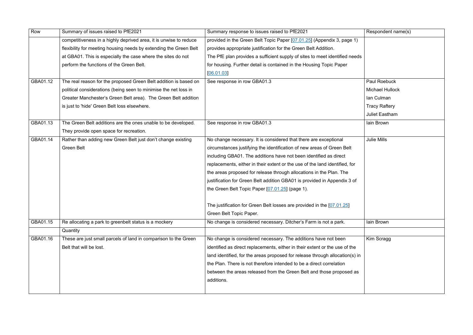| Row      | Summary of issues raised to PfE2021                               | Summary response to issues raised to PfE2021                                 | Respondent name(s)     |
|----------|-------------------------------------------------------------------|------------------------------------------------------------------------------|------------------------|
|          | competitiveness in a highly deprived area, it is unwise to reduce | provided in the Green Belt Topic Paper [07.01.25] (Appendix 3, page 1)       |                        |
|          | flexibility for meeting housing needs by extending the Green Belt | provides appropriate justification for the Green Belt Addition.              |                        |
|          | at GBA01. This is especially the case where the sites do not      | The PfE plan provides a sufficient supply of sites to meet identified needs  |                        |
|          |                                                                   |                                                                              |                        |
|          | perform the functions of the Green Belt.                          | for housing. Further detail is contained in the Housing Topic Paper          |                        |
|          |                                                                   | [06.01.03]                                                                   |                        |
| GBA01.12 | The real reason for the proposed Green Belt addition is based on  | See response in row GBA01.3                                                  | Paul Roebuck           |
|          | political considerations (being seen to minimise the net loss in  |                                                                              | <b>Michael Hullock</b> |
|          | Greater Manchester's Green Belt area). The Green Belt addition    |                                                                              | Ian Culman             |
|          | is just to 'hide' Green Belt loss elsewhere.                      |                                                                              | <b>Tracy Raftery</b>   |
|          |                                                                   |                                                                              | <b>Juliet Eastham</b>  |
| GBA01.13 | The Green Belt additions are the ones unable to be developed.     | See response in row GBA01.3                                                  | lain Brown             |
|          | They provide open space for recreation.                           |                                                                              |                        |
| GBA01.14 | Rather than adding new Green Belt just don't change existing      | No change necessary. It is considered that there are exceptional             | <b>Julie Mills</b>     |
|          | <b>Green Belt</b>                                                 | circumstances justifying the identification of new areas of Green Belt       |                        |
|          |                                                                   | including GBA01. The additions have not been identified as direct            |                        |
|          |                                                                   | replacements, either in their extent or the use of the land identified, for  |                        |
|          |                                                                   | the areas proposed for release through allocations in the Plan. The          |                        |
|          |                                                                   | justification for Green Belt addition GBA01 is provided in Appendix 3 of     |                        |
|          |                                                                   | the Green Belt Topic Paper [07.01.25] (page 1).                              |                        |
|          |                                                                   | The justification for Green Belt losses are provided in the [07.01.25]       |                        |
|          |                                                                   | Green Belt Topic Paper.                                                      |                        |
| GBA01.15 | Re allocating a park to greenbelt status is a mockery             | No change is considered necessary. Ditcher's Farm is not a park.             | lain Brown             |
|          | Quantity                                                          |                                                                              |                        |
| GBA01.16 | These are just small parcels of land in comparison to the Green   | No change is considered necessary. The additions have not been               | Kim Scragg             |
|          | Belt that will be lost.                                           | identified as direct replacements, either in their extent or the use of the  |                        |
|          |                                                                   | land identified, for the areas proposed for release through allocation(s) in |                        |
|          |                                                                   | the Plan. There is not therefore intended to be a direct correlation         |                        |
|          |                                                                   | between the areas released from the Green Belt and those proposed as         |                        |
|          |                                                                   | additions.                                                                   |                        |
|          |                                                                   |                                                                              |                        |
|          |                                                                   |                                                                              |                        |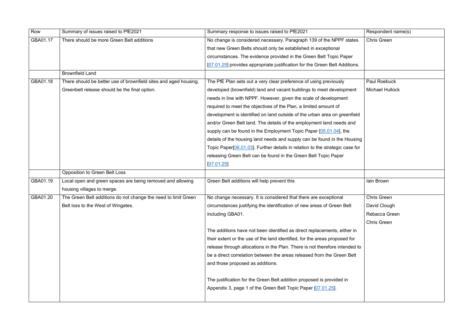| Row      | Summary of issues raised to PfE2021                              | Summary response to issues raised to PfE2021                                              | Respondent name(s)     |
|----------|------------------------------------------------------------------|-------------------------------------------------------------------------------------------|------------------------|
| GBA01.17 | There should be more Green Belt additions                        | No change is considered necessary. Paragraph 139 of the NPPF states                       | <b>Chris Green</b>     |
|          |                                                                  | that new Green Belts should only be established in exceptional                            |                        |
|          |                                                                  | circumstances. The evidence provided in the Green Belt Topic Paper                        |                        |
|          |                                                                  | [07.01.25] provides appropriate justification for the Green Belt Additions.               |                        |
|          | <b>Brownfield Land</b>                                           |                                                                                           |                        |
| GBA01.18 | There should be better use of brownfield sites and aged housing. | The PfE Plan sets out a very clear preference of using previously                         | <b>Paul Roebuck</b>    |
|          | Greenbelt release should be the final option.                    | developed (brownfield) land and vacant buildings to meet development                      | <b>Michael Hullock</b> |
|          |                                                                  | needs in line with NPPF. However, given the scale of development                          |                        |
|          |                                                                  | required to meet the objectives of the Plan, a limited amount of                          |                        |
|          |                                                                  | development is identified on land outside of the urban area on greenfield                 |                        |
|          |                                                                  | and/or Green Belt land. The details of the employment land needs and                      |                        |
|          |                                                                  | supply can be found in the Employment Topic Paper [05.01.04], the                         |                        |
|          |                                                                  | details of the housing land needs and supply can be found in the Housing                  |                        |
|          |                                                                  | Topic Paper <sup>[06.01.03]</sup> . Further details in relation to the strategic case for |                        |
|          |                                                                  | releasing Green Belt can be found in the Green Belt Topic Paper                           |                        |
|          |                                                                  | [07.01.25]                                                                                |                        |
|          | Opposition to Green Belt Loss                                    |                                                                                           |                        |
| GBA01.19 | Local open and green spaces are being removed and allowing       | Green Belt additions will help prevent this                                               | lain Brown             |
|          | housing villages to merge.                                       |                                                                                           |                        |
| GBA01.20 | The Green Belt additions do not change the need to limit Green   | No change necessary. It is considered that there are exceptional                          | <b>Chris Green</b>     |
|          | Belt loss to the West of Wingates.                               | circumstances justifying the identification of new areas of Green Belt                    | David Clough           |
|          |                                                                  | including GBA01.                                                                          | Rebacca Green          |
|          |                                                                  |                                                                                           | <b>Chris Green</b>     |
|          |                                                                  | The additions have not been identified as direct replacements, either in                  |                        |
|          |                                                                  | their extent or the use of the land identified, for the areas proposed for                |                        |
|          |                                                                  | release through allocations in the Plan. There is not therefore intended to               |                        |
|          |                                                                  | be a direct correlation between the areas released from the Green Belt                    |                        |
|          |                                                                  | and those proposed as additions.                                                          |                        |
|          |                                                                  | The justification for the Green Belt addition proposed is provided in                     |                        |
|          |                                                                  | Appendix 3, page 1 of the Green Belt Topic Paper [07.01.25].                              |                        |
|          |                                                                  |                                                                                           |                        |

|    | Respondent name(s)     |
|----|------------------------|
| 5  | <b>Chris Green</b>     |
|    |                        |
|    |                        |
| ś. |                        |
|    |                        |
|    | Paul Roebuck           |
|    | <b>Michael Hullock</b> |
|    |                        |
|    |                        |
| d  |                        |
|    |                        |
|    |                        |
| ng |                        |
| рŗ |                        |
|    |                        |
|    |                        |
|    | lain Brown             |
|    |                        |
|    | <b>Chris Green</b>     |
|    | David Clough           |
|    | Rebacca Green          |
|    | <b>Chris Green</b>     |
|    |                        |
|    |                        |
| to |                        |
|    |                        |
|    |                        |
|    |                        |
|    |                        |
|    |                        |
|    |                        |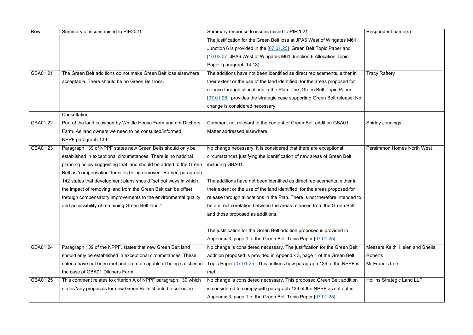| Row      | Summary of issues raised to PfE2021                                  | Summary response to issues raised to PfE2021                                | Respondent name(s)           |
|----------|----------------------------------------------------------------------|-----------------------------------------------------------------------------|------------------------------|
|          |                                                                      | The justification for the Green Belt loss at JPA6 West of Wingates M61      |                              |
|          |                                                                      | Junction 6 is provided in the [07.01.25] Green Belt Topic Paper and         |                              |
|          |                                                                      | [10.02.07] JPA6 West of Wingates M61 Junction 6 Allocation Topic            |                              |
|          |                                                                      | Paper (paragraph 14.13).                                                    |                              |
| GBA01.21 | The Green Belt additions do not make Green Belt loss elsewhere       | The additions have not been identified as direct replacements, either in    | <b>Tracy Raftery</b>         |
|          | acceptable. There should be no Green Belt loss.                      | their extent or the use of the land identified, for the areas proposed for  |                              |
|          |                                                                      | release through allocations in the Plan. The Green Belt Topic Paper         |                              |
|          |                                                                      | [07.01.25] provides the strategic case supporting Green Belt release. No    |                              |
|          |                                                                      | change is considered necessary.                                             |                              |
|          | Consultation                                                         |                                                                             |                              |
| GBA01.22 | Part of the land is owned by Whittle House Farm and not Ditchers     | Comment not relevant to the content of Green Belt addition GBA01.           | <b>Shirley Jennings</b>      |
|          | Farm. As land owners we need to be consulted/informed.               | Matter addressed elsewhere.                                                 |                              |
|          | NPPF paragraph 139                                                   |                                                                             |                              |
| GBA01.23 | Paragraph 139 of NPPF states new Green Belts should only be          | No change necessary. It is considered that there are exceptional            | <b>Persimmon Homes N</b>     |
|          | established in exceptional circumstances. There is no national       | circumstances justifying the identification of new areas of Green Belt      |                              |
|          | planning policy suggesting that land should be added to the Green    | including GBA01.                                                            |                              |
|          | Belt as 'compensation' for sites being removed. Rather, paragraph    |                                                                             |                              |
|          | 142 states that development plans should "set out ways in which      | The additions have not been identified as direct replacements, either in    |                              |
|          | the impact of removing land from the Green Belt can be offset        | their extent or the use of the land identified, for the areas proposed for  |                              |
|          | through compensatory improvements to the environmental quality       | release through allocations in the Plan. There is not therefore intended to |                              |
|          | and accessibility of remaining Green Belt land."                     | be a direct corelation between the areas released from the Green Belt       |                              |
|          |                                                                      | and those proposed as additions.                                            |                              |
|          |                                                                      |                                                                             |                              |
|          |                                                                      | The justification for the Green Belt addition proposed is provided in       |                              |
|          |                                                                      | Appendix 3, page 1 of the Green Belt Topic Paper [07.01.25].                |                              |
| GBA01.24 | Paragraph 139 of the NPPF, states that new Green Belt land           | No change is considered necessary. The justification for the Green Belt     | Messers Keith, Heler         |
|          | should only be established in exceptional circumstances. These       | addition proposed is provided in Appendix 3, page 1 of the Green Belt       | Roberts                      |
|          | criteria have not been met and are not capable of being satisfied in | Topic Paper [07.01.25]. This outlines how paragraph 139 of the NPPF is      | Mr Francis Lee               |
|          | the case of GBA01 Ditchers Farm.                                     | met.                                                                        |                              |
| GBA01.25 | This comment relates to criterion A of NPPF paragraph 139 which      | No change is considered necessary. This proposed Green Belt addition        | <b>Hollins Strategic Lan</b> |
|          | states 'any proposals for new Green Belts should be set out in       | is considered to comply with paragraph 139 of the NPPF as set out in        |                              |
|          |                                                                      | Appendix 3, page 1 of the Green Belt Topic Paper [07.01.25]                 |                              |

|    | Respondent name(s)                |
|----|-----------------------------------|
|    |                                   |
|    |                                   |
|    |                                   |
|    | <b>Tracy Raftery</b>              |
|    |                                   |
| ١o |                                   |
|    |                                   |
|    | <b>Shirley Jennings</b>           |
|    |                                   |
|    |                                   |
|    | Persimmon Homes North West        |
|    |                                   |
|    |                                   |
|    |                                   |
| to |                                   |
|    |                                   |
|    |                                   |
|    |                                   |
|    |                                   |
|    | Messers Keith, Helen and Shelia   |
|    | <b>Roberts</b>                    |
| s  | Mr Francis Lee                    |
|    | <b>Hollins Strategic Land LLP</b> |
|    |                                   |
|    |                                   |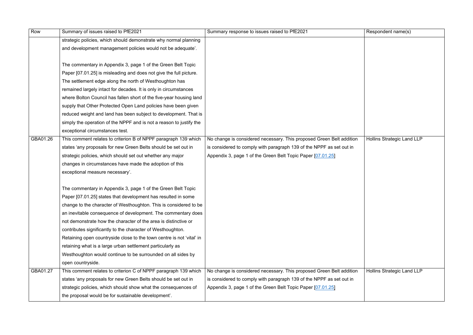| Row      | Summary of issues raised to PfE2021                                   | Summary response to issues raised to PfE2021                         | Respondent name(s)                |
|----------|-----------------------------------------------------------------------|----------------------------------------------------------------------|-----------------------------------|
|          | strategic policies, which should demonstrate why normal planning      |                                                                      |                                   |
|          | and development management policies would not be adequate'.           |                                                                      |                                   |
|          |                                                                       |                                                                      |                                   |
|          | The commentary in Appendix 3, page 1 of the Green Belt Topic          |                                                                      |                                   |
|          | Paper [07.01.25] is misleading and does not give the full picture.    |                                                                      |                                   |
|          | The settlement edge along the north of Westhoughton has               |                                                                      |                                   |
|          | remained largely intact for decades. It is only in circumstances      |                                                                      |                                   |
|          | where Bolton Council has fallen short of the five-year housing land   |                                                                      |                                   |
|          | supply that Other Protected Open Land policies have been given        |                                                                      |                                   |
|          | reduced weight and land has been subject to development. That is      |                                                                      |                                   |
|          | simply the operation of the NPPF and is not a reason to justify the   |                                                                      |                                   |
|          | exceptional circumstances test.                                       |                                                                      |                                   |
| GBA01.26 | This comment relates to criterion B of NPPF paragraph 139 which       | No change is considered necessary. This proposed Green Belt addition | <b>Hollins Strategic Land LLP</b> |
|          | states 'any proposals for new Green Belts should be set out in        | is considered to comply with paragraph 139 of the NPPF as set out in |                                   |
|          | strategic policies, which should set out whether any major            | Appendix 3, page 1 of the Green Belt Topic Paper [07.01.25]          |                                   |
|          | changes in circumstances have made the adoption of this               |                                                                      |                                   |
|          | exceptional measure necessary'.                                       |                                                                      |                                   |
|          |                                                                       |                                                                      |                                   |
|          | The commentary in Appendix 3, page 1 of the Green Belt Topic          |                                                                      |                                   |
|          | Paper [07.01.25] states that development has resulted in some         |                                                                      |                                   |
|          | change to the character of Westhoughton. This is considered to be     |                                                                      |                                   |
|          | an inevitable consequence of development. The commentary does         |                                                                      |                                   |
|          | not demonstrate how the character of the area is distinctive or       |                                                                      |                                   |
|          | contributes significantly to the character of Westhoughton.           |                                                                      |                                   |
|          | Retaining open countryside close to the town centre is not 'vital' in |                                                                      |                                   |
|          | retaining what is a large urban settlement particularly as            |                                                                      |                                   |
|          | Westhoughton would continue to be surrounded on all sides by          |                                                                      |                                   |
|          | open countryside.                                                     |                                                                      |                                   |
| GBA01.27 | This comment relates to criterion C of NPPF paragraph 139 which       | No change is considered necessary. This proposed Green Belt addition | <b>Hollins Strategic Land LLP</b> |
|          | states 'any proposals for new Green Belts should be set out in        | is considered to comply with paragraph 139 of the NPPF as set out in |                                   |
|          | strategic policies, which should show what the consequences of        | Appendix 3, page 1 of the Green Belt Topic Paper [07.01.25]          |                                   |
|          | the proposal would be for sustainable development'.                   |                                                                      |                                   |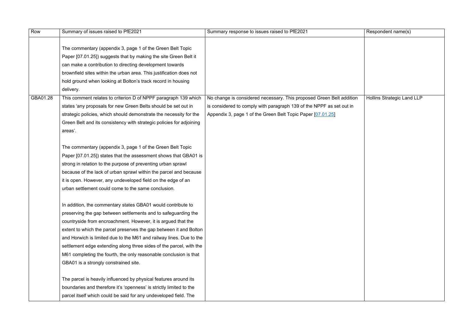| Row      | Summary of issues raised to PfE2021                                                                                                                                                                                                                                                                                                                                                                                                                                                                                               | Summary response to issues raised to PfE2021                                                                                                                                                                | Respondent name(s)                |
|----------|-----------------------------------------------------------------------------------------------------------------------------------------------------------------------------------------------------------------------------------------------------------------------------------------------------------------------------------------------------------------------------------------------------------------------------------------------------------------------------------------------------------------------------------|-------------------------------------------------------------------------------------------------------------------------------------------------------------------------------------------------------------|-----------------------------------|
|          | The commentary (appendix 3, page 1 of the Green Belt Topic<br>Paper [07.01.25]) suggests that by making the site Green Belt it<br>can make a contribution to directing development towards<br>brownfield sites within the urban area. This justification does not<br>hold ground when looking at Bolton's track record in housing<br>delivery.                                                                                                                                                                                    |                                                                                                                                                                                                             |                                   |
| GBA01.28 | This comment relates to criterion D of NPPF paragraph 139 which<br>states 'any proposals for new Green Belts should be set out in<br>strategic policies, which should demonstrate the necessity for the<br>Green Belt and its consistency with strategic policies for adjoining<br>areas'.                                                                                                                                                                                                                                        | No change is considered necessary. This proposed Green Belt addition<br>is considered to comply with paragraph 139 of the NPPF as set out in<br>Appendix 3, page 1 of the Green Belt Topic Paper [07.01.25] | <b>Hollins Strategic Land LLP</b> |
|          | The commentary (appendix 3, page 1 of the Green Belt Topic<br>Paper [07.01.25]) states that the assessment shows that GBA01 is<br>strong in relation to the purpose of preventing urban sprawl<br>because of the lack of urban sprawl within the parcel and because<br>it is open. However, any undeveloped field on the edge of an<br>urban settlement could come to the same conclusion.                                                                                                                                        |                                                                                                                                                                                                             |                                   |
|          | In addition, the commentary states GBA01 would contribute to<br>preserving the gap between settlements and to safeguarding the<br>countryside from encroachment. However, it is argued that the<br>extent to which the parcel preserves the gap between it and Bolton<br>and Horwich is limited due to the M61 and railway lines. Due to the<br>settlement edge extending along three sides of the parcel, with the<br>M61 completing the fourth, the only reasonable conclusion is that<br>GBA01 is a strongly constrained site. |                                                                                                                                                                                                             |                                   |
|          | The parcel is heavily influenced by physical features around its<br>boundaries and therefore it's 'openness' is strictly limited to the<br>parcel itself which could be said for any undeveloped field. The                                                                                                                                                                                                                                                                                                                       |                                                                                                                                                                                                             |                                   |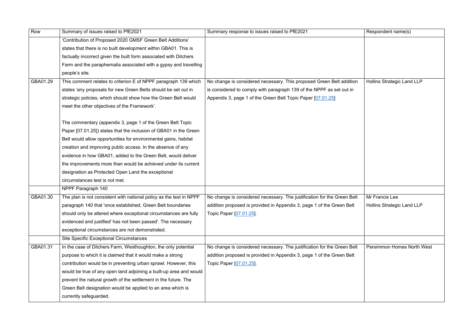| 'Contribution of Proposed 2020 GMSF Green Belt Additions'<br>states that there is no built development within GBA01. This is<br>factually incorrect given the built form associated with Ditchers<br>Farm and the paraphernalia associated with a gypsy and travelling<br>people's site.<br>GBA01.29<br>This comment relates to criterion E of NPPF paragraph 139 which<br>No change is considered necessary. This proposed Green Belt addition<br><b>Hollins Strategic Land LLP</b><br>states 'any proposals for new Green Belts should be set out in<br>is considered to comply with paragraph 139 of the NPPF as set out in<br>strategic policies, which should show how the Green Belt would<br>Appendix 3, page 1 of the Green Belt Topic Paper [07.01.25]<br>meet the other objectives of the Framework'.<br>The commentary (appendix 3, page 1 of the Green Belt Topic<br>Paper [07.01.25]) states that the inclusion of GBA01 in the Green<br>Belt would allow opportunities for environmental gains, habitat<br>creation and improving public access. In the absence of any<br>evidence in how GBA01, added to the Green Belt, would deliver<br>the improvements more than would be achieved under its current<br>designation as Protected Open Land the exceptional<br>circumstances test is not met.<br>NPPF Paragraph 140<br>Mr Francis Lee<br>GBA01.30<br>The plan is not consistent with national policy as the test in NPPF<br>No change is considered necessary. The justification for the Green Belt<br><b>Hollins Strategic Land LLP</b><br>paragraph 140 that 'once established, Green Belt boundaries<br>addition proposed is provided in Appendix 3, page 1 of the Green Belt<br>should only be altered where exceptional circumstances are fully<br>Topic Paper [07.01.25]<br>evidenced and justified' has not been passed'. The necessary<br>exceptional circumstances are not demonstrated.<br><b>Site Specific Exceptional Circumstances</b><br>GBA01.31<br>In the case of Ditchers Farm, Westhoughton, the only potential<br>No change is considered necessary. The justification for the Green Belt<br>purpose to which it is claimed that it would make a strong<br>addition proposed is provided in Appendix 3, page 1 of the Green Belt<br>contribution would be in preventing urban sprawl. However, this<br>Topic Paper [07.01.25]<br>would be true of any open land adjoining a built-up area and would<br>prevent the natural growth of the settlement in the future. The<br>Green Belt designation would be applied to an area which is<br>currently safeguarded. | Row | Summary of issues raised to PfE2021 | Summary response to issues raised to PfE2021 | Respondent name(s) |
|------------------------------------------------------------------------------------------------------------------------------------------------------------------------------------------------------------------------------------------------------------------------------------------------------------------------------------------------------------------------------------------------------------------------------------------------------------------------------------------------------------------------------------------------------------------------------------------------------------------------------------------------------------------------------------------------------------------------------------------------------------------------------------------------------------------------------------------------------------------------------------------------------------------------------------------------------------------------------------------------------------------------------------------------------------------------------------------------------------------------------------------------------------------------------------------------------------------------------------------------------------------------------------------------------------------------------------------------------------------------------------------------------------------------------------------------------------------------------------------------------------------------------------------------------------------------------------------------------------------------------------------------------------------------------------------------------------------------------------------------------------------------------------------------------------------------------------------------------------------------------------------------------------------------------------------------------------------------------------------------------------------------------------------------------------------------------------------------------------------------------------------------------------------------------------------------------------------------------------------------------------------------------------------------------------------------------------------------------------------------------------------------------------------------------------------------------------------------------------------------------------------------------------------------------------------------------------------------------|-----|-------------------------------------|----------------------------------------------|--------------------|
|                                                                                                                                                                                                                                                                                                                                                                                                                                                                                                                                                                                                                                                                                                                                                                                                                                                                                                                                                                                                                                                                                                                                                                                                                                                                                                                                                                                                                                                                                                                                                                                                                                                                                                                                                                                                                                                                                                                                                                                                                                                                                                                                                                                                                                                                                                                                                                                                                                                                                                                                                                                                      |     |                                     |                                              |                    |
|                                                                                                                                                                                                                                                                                                                                                                                                                                                                                                                                                                                                                                                                                                                                                                                                                                                                                                                                                                                                                                                                                                                                                                                                                                                                                                                                                                                                                                                                                                                                                                                                                                                                                                                                                                                                                                                                                                                                                                                                                                                                                                                                                                                                                                                                                                                                                                                                                                                                                                                                                                                                      |     |                                     |                                              |                    |
|                                                                                                                                                                                                                                                                                                                                                                                                                                                                                                                                                                                                                                                                                                                                                                                                                                                                                                                                                                                                                                                                                                                                                                                                                                                                                                                                                                                                                                                                                                                                                                                                                                                                                                                                                                                                                                                                                                                                                                                                                                                                                                                                                                                                                                                                                                                                                                                                                                                                                                                                                                                                      |     |                                     |                                              |                    |
|                                                                                                                                                                                                                                                                                                                                                                                                                                                                                                                                                                                                                                                                                                                                                                                                                                                                                                                                                                                                                                                                                                                                                                                                                                                                                                                                                                                                                                                                                                                                                                                                                                                                                                                                                                                                                                                                                                                                                                                                                                                                                                                                                                                                                                                                                                                                                                                                                                                                                                                                                                                                      |     |                                     |                                              |                    |
|                                                                                                                                                                                                                                                                                                                                                                                                                                                                                                                                                                                                                                                                                                                                                                                                                                                                                                                                                                                                                                                                                                                                                                                                                                                                                                                                                                                                                                                                                                                                                                                                                                                                                                                                                                                                                                                                                                                                                                                                                                                                                                                                                                                                                                                                                                                                                                                                                                                                                                                                                                                                      |     |                                     |                                              |                    |
|                                                                                                                                                                                                                                                                                                                                                                                                                                                                                                                                                                                                                                                                                                                                                                                                                                                                                                                                                                                                                                                                                                                                                                                                                                                                                                                                                                                                                                                                                                                                                                                                                                                                                                                                                                                                                                                                                                                                                                                                                                                                                                                                                                                                                                                                                                                                                                                                                                                                                                                                                                                                      |     |                                     |                                              |                    |
| <b>Persimmon Homes North West</b>                                                                                                                                                                                                                                                                                                                                                                                                                                                                                                                                                                                                                                                                                                                                                                                                                                                                                                                                                                                                                                                                                                                                                                                                                                                                                                                                                                                                                                                                                                                                                                                                                                                                                                                                                                                                                                                                                                                                                                                                                                                                                                                                                                                                                                                                                                                                                                                                                                                                                                                                                                    |     |                                     |                                              |                    |
|                                                                                                                                                                                                                                                                                                                                                                                                                                                                                                                                                                                                                                                                                                                                                                                                                                                                                                                                                                                                                                                                                                                                                                                                                                                                                                                                                                                                                                                                                                                                                                                                                                                                                                                                                                                                                                                                                                                                                                                                                                                                                                                                                                                                                                                                                                                                                                                                                                                                                                                                                                                                      |     |                                     |                                              |                    |
|                                                                                                                                                                                                                                                                                                                                                                                                                                                                                                                                                                                                                                                                                                                                                                                                                                                                                                                                                                                                                                                                                                                                                                                                                                                                                                                                                                                                                                                                                                                                                                                                                                                                                                                                                                                                                                                                                                                                                                                                                                                                                                                                                                                                                                                                                                                                                                                                                                                                                                                                                                                                      |     |                                     |                                              |                    |
|                                                                                                                                                                                                                                                                                                                                                                                                                                                                                                                                                                                                                                                                                                                                                                                                                                                                                                                                                                                                                                                                                                                                                                                                                                                                                                                                                                                                                                                                                                                                                                                                                                                                                                                                                                                                                                                                                                                                                                                                                                                                                                                                                                                                                                                                                                                                                                                                                                                                                                                                                                                                      |     |                                     |                                              |                    |
|                                                                                                                                                                                                                                                                                                                                                                                                                                                                                                                                                                                                                                                                                                                                                                                                                                                                                                                                                                                                                                                                                                                                                                                                                                                                                                                                                                                                                                                                                                                                                                                                                                                                                                                                                                                                                                                                                                                                                                                                                                                                                                                                                                                                                                                                                                                                                                                                                                                                                                                                                                                                      |     |                                     |                                              |                    |
|                                                                                                                                                                                                                                                                                                                                                                                                                                                                                                                                                                                                                                                                                                                                                                                                                                                                                                                                                                                                                                                                                                                                                                                                                                                                                                                                                                                                                                                                                                                                                                                                                                                                                                                                                                                                                                                                                                                                                                                                                                                                                                                                                                                                                                                                                                                                                                                                                                                                                                                                                                                                      |     |                                     |                                              |                    |
|                                                                                                                                                                                                                                                                                                                                                                                                                                                                                                                                                                                                                                                                                                                                                                                                                                                                                                                                                                                                                                                                                                                                                                                                                                                                                                                                                                                                                                                                                                                                                                                                                                                                                                                                                                                                                                                                                                                                                                                                                                                                                                                                                                                                                                                                                                                                                                                                                                                                                                                                                                                                      |     |                                     |                                              |                    |
|                                                                                                                                                                                                                                                                                                                                                                                                                                                                                                                                                                                                                                                                                                                                                                                                                                                                                                                                                                                                                                                                                                                                                                                                                                                                                                                                                                                                                                                                                                                                                                                                                                                                                                                                                                                                                                                                                                                                                                                                                                                                                                                                                                                                                                                                                                                                                                                                                                                                                                                                                                                                      |     |                                     |                                              |                    |
|                                                                                                                                                                                                                                                                                                                                                                                                                                                                                                                                                                                                                                                                                                                                                                                                                                                                                                                                                                                                                                                                                                                                                                                                                                                                                                                                                                                                                                                                                                                                                                                                                                                                                                                                                                                                                                                                                                                                                                                                                                                                                                                                                                                                                                                                                                                                                                                                                                                                                                                                                                                                      |     |                                     |                                              |                    |
|                                                                                                                                                                                                                                                                                                                                                                                                                                                                                                                                                                                                                                                                                                                                                                                                                                                                                                                                                                                                                                                                                                                                                                                                                                                                                                                                                                                                                                                                                                                                                                                                                                                                                                                                                                                                                                                                                                                                                                                                                                                                                                                                                                                                                                                                                                                                                                                                                                                                                                                                                                                                      |     |                                     |                                              |                    |
|                                                                                                                                                                                                                                                                                                                                                                                                                                                                                                                                                                                                                                                                                                                                                                                                                                                                                                                                                                                                                                                                                                                                                                                                                                                                                                                                                                                                                                                                                                                                                                                                                                                                                                                                                                                                                                                                                                                                                                                                                                                                                                                                                                                                                                                                                                                                                                                                                                                                                                                                                                                                      |     |                                     |                                              |                    |
|                                                                                                                                                                                                                                                                                                                                                                                                                                                                                                                                                                                                                                                                                                                                                                                                                                                                                                                                                                                                                                                                                                                                                                                                                                                                                                                                                                                                                                                                                                                                                                                                                                                                                                                                                                                                                                                                                                                                                                                                                                                                                                                                                                                                                                                                                                                                                                                                                                                                                                                                                                                                      |     |                                     |                                              |                    |
|                                                                                                                                                                                                                                                                                                                                                                                                                                                                                                                                                                                                                                                                                                                                                                                                                                                                                                                                                                                                                                                                                                                                                                                                                                                                                                                                                                                                                                                                                                                                                                                                                                                                                                                                                                                                                                                                                                                                                                                                                                                                                                                                                                                                                                                                                                                                                                                                                                                                                                                                                                                                      |     |                                     |                                              |                    |
|                                                                                                                                                                                                                                                                                                                                                                                                                                                                                                                                                                                                                                                                                                                                                                                                                                                                                                                                                                                                                                                                                                                                                                                                                                                                                                                                                                                                                                                                                                                                                                                                                                                                                                                                                                                                                                                                                                                                                                                                                                                                                                                                                                                                                                                                                                                                                                                                                                                                                                                                                                                                      |     |                                     |                                              |                    |
|                                                                                                                                                                                                                                                                                                                                                                                                                                                                                                                                                                                                                                                                                                                                                                                                                                                                                                                                                                                                                                                                                                                                                                                                                                                                                                                                                                                                                                                                                                                                                                                                                                                                                                                                                                                                                                                                                                                                                                                                                                                                                                                                                                                                                                                                                                                                                                                                                                                                                                                                                                                                      |     |                                     |                                              |                    |
|                                                                                                                                                                                                                                                                                                                                                                                                                                                                                                                                                                                                                                                                                                                                                                                                                                                                                                                                                                                                                                                                                                                                                                                                                                                                                                                                                                                                                                                                                                                                                                                                                                                                                                                                                                                                                                                                                                                                                                                                                                                                                                                                                                                                                                                                                                                                                                                                                                                                                                                                                                                                      |     |                                     |                                              |                    |
|                                                                                                                                                                                                                                                                                                                                                                                                                                                                                                                                                                                                                                                                                                                                                                                                                                                                                                                                                                                                                                                                                                                                                                                                                                                                                                                                                                                                                                                                                                                                                                                                                                                                                                                                                                                                                                                                                                                                                                                                                                                                                                                                                                                                                                                                                                                                                                                                                                                                                                                                                                                                      |     |                                     |                                              |                    |
|                                                                                                                                                                                                                                                                                                                                                                                                                                                                                                                                                                                                                                                                                                                                                                                                                                                                                                                                                                                                                                                                                                                                                                                                                                                                                                                                                                                                                                                                                                                                                                                                                                                                                                                                                                                                                                                                                                                                                                                                                                                                                                                                                                                                                                                                                                                                                                                                                                                                                                                                                                                                      |     |                                     |                                              |                    |
|                                                                                                                                                                                                                                                                                                                                                                                                                                                                                                                                                                                                                                                                                                                                                                                                                                                                                                                                                                                                                                                                                                                                                                                                                                                                                                                                                                                                                                                                                                                                                                                                                                                                                                                                                                                                                                                                                                                                                                                                                                                                                                                                                                                                                                                                                                                                                                                                                                                                                                                                                                                                      |     |                                     |                                              |                    |
|                                                                                                                                                                                                                                                                                                                                                                                                                                                                                                                                                                                                                                                                                                                                                                                                                                                                                                                                                                                                                                                                                                                                                                                                                                                                                                                                                                                                                                                                                                                                                                                                                                                                                                                                                                                                                                                                                                                                                                                                                                                                                                                                                                                                                                                                                                                                                                                                                                                                                                                                                                                                      |     |                                     |                                              |                    |
|                                                                                                                                                                                                                                                                                                                                                                                                                                                                                                                                                                                                                                                                                                                                                                                                                                                                                                                                                                                                                                                                                                                                                                                                                                                                                                                                                                                                                                                                                                                                                                                                                                                                                                                                                                                                                                                                                                                                                                                                                                                                                                                                                                                                                                                                                                                                                                                                                                                                                                                                                                                                      |     |                                     |                                              |                    |
|                                                                                                                                                                                                                                                                                                                                                                                                                                                                                                                                                                                                                                                                                                                                                                                                                                                                                                                                                                                                                                                                                                                                                                                                                                                                                                                                                                                                                                                                                                                                                                                                                                                                                                                                                                                                                                                                                                                                                                                                                                                                                                                                                                                                                                                                                                                                                                                                                                                                                                                                                                                                      |     |                                     |                                              |                    |
|                                                                                                                                                                                                                                                                                                                                                                                                                                                                                                                                                                                                                                                                                                                                                                                                                                                                                                                                                                                                                                                                                                                                                                                                                                                                                                                                                                                                                                                                                                                                                                                                                                                                                                                                                                                                                                                                                                                                                                                                                                                                                                                                                                                                                                                                                                                                                                                                                                                                                                                                                                                                      |     |                                     |                                              |                    |
|                                                                                                                                                                                                                                                                                                                                                                                                                                                                                                                                                                                                                                                                                                                                                                                                                                                                                                                                                                                                                                                                                                                                                                                                                                                                                                                                                                                                                                                                                                                                                                                                                                                                                                                                                                                                                                                                                                                                                                                                                                                                                                                                                                                                                                                                                                                                                                                                                                                                                                                                                                                                      |     |                                     |                                              |                    |
|                                                                                                                                                                                                                                                                                                                                                                                                                                                                                                                                                                                                                                                                                                                                                                                                                                                                                                                                                                                                                                                                                                                                                                                                                                                                                                                                                                                                                                                                                                                                                                                                                                                                                                                                                                                                                                                                                                                                                                                                                                                                                                                                                                                                                                                                                                                                                                                                                                                                                                                                                                                                      |     |                                     |                                              |                    |
|                                                                                                                                                                                                                                                                                                                                                                                                                                                                                                                                                                                                                                                                                                                                                                                                                                                                                                                                                                                                                                                                                                                                                                                                                                                                                                                                                                                                                                                                                                                                                                                                                                                                                                                                                                                                                                                                                                                                                                                                                                                                                                                                                                                                                                                                                                                                                                                                                                                                                                                                                                                                      |     |                                     |                                              |                    |

| Respondent name(s)                |
|-----------------------------------|
|                                   |
| <b>Hollins Strategic Land LLP</b> |
| Mr Francis Lee                    |
| <b>Hollins Strategic Land LLP</b> |
| <b>Persimmon Homes North West</b> |
|                                   |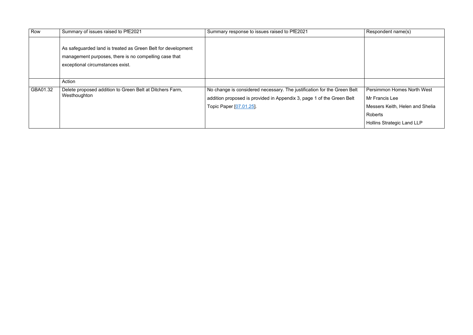| Row      | Summary of issues raised to PfE2021                                                                                                                       | Summary response to issues raised to PfE2021                                                                                                                                | Respondent name(s)                                                                                                                     |
|----------|-----------------------------------------------------------------------------------------------------------------------------------------------------------|-----------------------------------------------------------------------------------------------------------------------------------------------------------------------------|----------------------------------------------------------------------------------------------------------------------------------------|
|          | As safeguarded land is treated as Green Belt for development<br>management purposes, there is no compelling case that<br>exceptional circumstances exist. |                                                                                                                                                                             |                                                                                                                                        |
|          | Action                                                                                                                                                    |                                                                                                                                                                             |                                                                                                                                        |
| GBA01.32 | Delete proposed addition to Green Belt at Ditchers Farm,<br>Westhoughton                                                                                  | No change is considered necessary. The justification for the Green Belt<br>addition proposed is provided in Appendix 3, page 1 of the Green Belt<br>Topic Paper [07.01.25]. | <b>Persimmon Homes North West</b><br>Mr Francis Lee<br>Messers Keith, Helen and Shelia<br>Roberts<br><b>Hollins Strategic Land LLP</b> |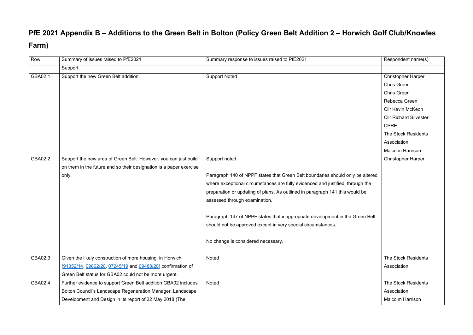## **PfE 2021 Appendix B – Additions to the Green Belt in Bolton (Policy Green Belt Addition 2 – Horwich Golf Club/Knowles Farm)**

| Row     | Summary of issues raised to PfE2021                                | Summary response to issues raised to PfE2021                                   | Respondent name(s)            |
|---------|--------------------------------------------------------------------|--------------------------------------------------------------------------------|-------------------------------|
|         | Support                                                            |                                                                                |                               |
| GBA02.1 | Support the new Green Belt addition.                               | <b>Support Noted</b>                                                           | <b>Christopher Harper</b>     |
|         |                                                                    |                                                                                | <b>Chris Green</b>            |
|         |                                                                    |                                                                                | <b>Chris Green</b>            |
|         |                                                                    |                                                                                | Rebecca Green                 |
|         |                                                                    |                                                                                | <b>Cllr Kevin McKeon</b>      |
|         |                                                                    |                                                                                | <b>Cllr Richard Silvester</b> |
|         |                                                                    |                                                                                | <b>CPRE</b>                   |
|         |                                                                    |                                                                                | The Stock Residents           |
|         |                                                                    |                                                                                | Association                   |
|         |                                                                    |                                                                                | <b>Malcolm Harrison</b>       |
| GBA02.2 | Support the new area of Green Belt. However, you can just build    | Support noted.                                                                 | <b>Christopher Harper</b>     |
|         | on them in the future and so their designation is a paper exercise |                                                                                |                               |
|         | only.                                                              | Paragraph 140 of NPPF states that Green Belt boundaries should only be altered |                               |
|         |                                                                    | where exceptional circumstances are fully evidenced and justified, through the |                               |
|         |                                                                    | preparation or updating of plans. As outlined in paragraph 141 this would be   |                               |
|         |                                                                    | assessed through examination.                                                  |                               |
|         |                                                                    | Paragraph 147 of NPPF states that inappropriate development in the Green Belt  |                               |
|         |                                                                    |                                                                                |                               |
|         |                                                                    | should not be approved except in very special circumstances.                   |                               |
|         |                                                                    | No change is considered necessary.                                             |                               |
|         |                                                                    |                                                                                |                               |
| GBA02.3 | Given the likely construction of more housing in Horwich           | <b>Noted</b>                                                                   | <b>The Stock Residents</b>    |
|         | (91352/14, 09862/20, 07245/19 and 09488/20) confirmation of        |                                                                                | Association                   |
|         | Green Belt status for GBA02 could not be more urgent.              |                                                                                |                               |
| GBA02.4 | Further evidence to support Green Belt addition GBA02 includes     | <b>Noted</b>                                                                   | The Stock Residents           |
|         | Bolton Council's Landscape Regeneration Manager, Landscape         |                                                                                | Association                   |
|         | Development and Design in its report of 22 May 2018 (The           |                                                                                | <b>Malcolm Harrison</b>       |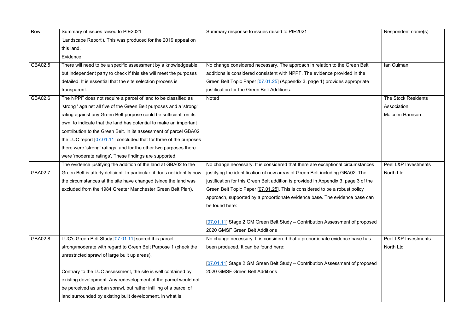| Row     | Summary of issues raised to PfE2021                                      | Summary response to issues raised to PfE2021                                                                   | Respondent name(s)      |
|---------|--------------------------------------------------------------------------|----------------------------------------------------------------------------------------------------------------|-------------------------|
|         | 'Landscape Report'). This was produced for the 2019 appeal on            |                                                                                                                |                         |
|         | this land.                                                               |                                                                                                                |                         |
|         | Evidence                                                                 |                                                                                                                |                         |
| GBA02.5 | There will need to be a specific assessment by a knowledgeable           | No change considered necessary. The approach in relation to the Green Belt                                     | Ian Culman              |
|         | but independent party to check if this site will meet the purposes       | additions is considered consistent with NPPF. The evidence provided in the                                     |                         |
|         | detailed. It is essential that the site selection process is             | Green Belt Topic Paper [07.01.25] (Appendix 3, page 1) provides appropriate                                    |                         |
|         | transparent.                                                             | justification for the Green Belt Additions.                                                                    |                         |
| GBA02.6 | The NPPF does not require a parcel of land to be classified as           | <b>Noted</b>                                                                                                   | The Stock Residents     |
|         | 'strong ' against all five of the Green Belt purposes and a 'strong'     |                                                                                                                | Association             |
|         | rating against any Green Belt purpose could be sufficient, on its        |                                                                                                                | <b>Malcolm Harrison</b> |
|         | own, to indicate that the land has potential to make an important        |                                                                                                                |                         |
|         | contribution to the Green Belt. In its assessment of parcel GBA02        |                                                                                                                |                         |
|         | the LUC report [07.01.11] concluded that for three of the purposes       |                                                                                                                |                         |
|         | there were 'strong' ratings and for the other two purposes there         |                                                                                                                |                         |
|         | were 'moderate ratings'. These findings are supported.                   |                                                                                                                |                         |
|         | The evidence justifying the addition of the land at GBA02 to the         | No change necessary. It is considered that there are exceptional circumstances                                 | Peel L&P Investments    |
| GBA02.7 | Green Belt is utterly deficient. In particular, it does not identify how | justifying the identification of new areas of Green Belt including GBA02. The                                  | North Ltd               |
|         | the circumstances at the site have changed (since the land was           | justification for this Green Belt addition is provided in Appendix 3, page 3 of the                            |                         |
|         | excluded from the 1984 Greater Manchester Green Belt Plan).              | Green Belt Topic Paper [07.01.25]. This is considered to be a robust policy                                    |                         |
|         |                                                                          | approach, supported by a proportionate evidence base. The evidence base can                                    |                         |
|         |                                                                          | be found here:                                                                                                 |                         |
|         |                                                                          | [07.01.11] Stage 2 GM Green Belt Study – Contribution Assessment of proposed<br>2020 GMSF Green Belt Additions |                         |
| GBA02.8 | LUC's Green Belt Study [07.01.11] scored this parcel                     | No change necessary. It is considered that a proportionate evidence base has                                   | Peel L&P Investments    |
|         | strong/moderate with regard to Green Belt Purpose 1 (check the           | been produced. It can be found here:                                                                           | North Ltd               |
|         | unrestricted sprawl of large built up areas).                            |                                                                                                                |                         |
|         |                                                                          | [07.01.11] Stage 2 GM Green Belt Study – Contribution Assessment of proposed                                   |                         |
|         | Contrary to the LUC assessment, the site is well contained by            | 2020 GMSF Green Belt Additions                                                                                 |                         |
|         | existing development. Any redevelopment of the parcel would not          |                                                                                                                |                         |
|         | be perceived as urban sprawl, but rather infilling of a parcel of        |                                                                                                                |                         |
|         | land surrounded by existing built development, in what is                |                                                                                                                |                         |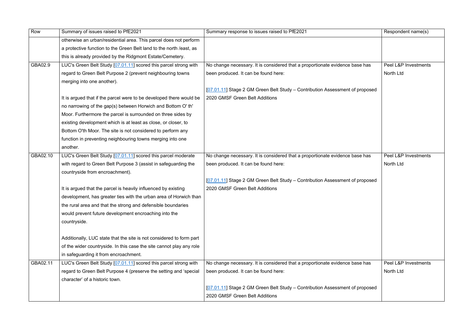| Row      | Summary of issues raised to PfE2021                                  | Summary response to issues raised to PfE2021                                 | Respondent name(s)   |
|----------|----------------------------------------------------------------------|------------------------------------------------------------------------------|----------------------|
|          | otherwise an urban/residential area. This parcel does not perform    |                                                                              |                      |
|          | a protective function to the Green Belt land to the north /east, as  |                                                                              |                      |
|          | this is already provided by the Ridgmont Estate/Cemetery.            |                                                                              |                      |
| GBA02.9  | LUC's Green Belt Study [07.01.11] scored this parcel strong with     | No change necessary. It is considered that a proportionate evidence base has | Peel L&P Investments |
|          | regard to Green Belt Purpose 2 (prevent neighbouring towns           | been produced. It can be found here:                                         | North Ltd            |
|          | merging into one another).                                           |                                                                              |                      |
|          |                                                                      | [07.01.11] Stage 2 GM Green Belt Study - Contribution Assessment of proposed |                      |
|          | It is argued that if the parcel were to be developed there would be  | 2020 GMSF Green Belt Additions                                               |                      |
|          | no narrowing of the gap(s) between Horwich and Bottom O' th'         |                                                                              |                      |
|          | Moor. Furthermore the parcel is surrounded on three sides by         |                                                                              |                      |
|          | existing development which is at least as close, or closer, to       |                                                                              |                      |
|          | Bottom O'th Moor. The site is not considered to perform any          |                                                                              |                      |
|          | function in preventing neighbouring towns merging into one           |                                                                              |                      |
|          | another.                                                             |                                                                              |                      |
| GBA02.10 | LUC's Green Belt Study [07.01.11] scored this parcel moderate        | No change necessary. It is considered that a proportionate evidence base has | Peel L&P Investments |
|          | with regard to Green Belt Purpose 3 (assist in safeguarding the      | been produced. It can be found here:                                         | North Ltd            |
|          | countryside from encroachment).                                      |                                                                              |                      |
|          |                                                                      | [07.01.11] Stage 2 GM Green Belt Study - Contribution Assessment of proposed |                      |
|          | It is argued that the parcel is heavily influenced by existing       | 2020 GMSF Green Belt Additions                                               |                      |
|          | development, has greater ties with the urban area of Horwich than    |                                                                              |                      |
|          | the rural area and that the strong and defensible boundaries         |                                                                              |                      |
|          | would prevent future development encroaching into the                |                                                                              |                      |
|          | countryside.                                                         |                                                                              |                      |
|          |                                                                      |                                                                              |                      |
|          | Additionally, LUC state that the site is not considered to form part |                                                                              |                      |
|          | of the wider countryside. In this case the site cannot play any role |                                                                              |                      |
|          | in safeguarding it from encroachment.                                |                                                                              |                      |
| GBA02.11 | LUC's Green Belt Study [07.01.11] scored this parcel strong with     | No change necessary. It is considered that a proportionate evidence base has | Peel L&P Investments |
|          | regard to Green Belt Purpose 4 (preserve the setting and 'special    | been produced. It can be found here:                                         | <b>North Ltd</b>     |
|          | character' of a historic town.                                       |                                                                              |                      |
|          |                                                                      | [07.01.11] Stage 2 GM Green Belt Study - Contribution Assessment of proposed |                      |
|          |                                                                      | 2020 GMSF Green Belt Additions                                               |                      |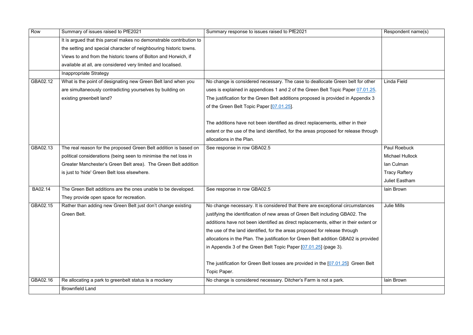| Row      | Summary of issues raised to PfE2021                                 | Summary response to issues raised to PfE2021                                         | Respondent name(s)     |
|----------|---------------------------------------------------------------------|--------------------------------------------------------------------------------------|------------------------|
|          | It is argued that this parcel makes no demonstrable contribution to |                                                                                      |                        |
|          | the setting and special character of neighbouring historic towns.   |                                                                                      |                        |
|          | Views to and from the historic towns of Bolton and Horwich, if      |                                                                                      |                        |
|          | available at all, are considered very limited and localised.        |                                                                                      |                        |
|          | Inappropriate Strategy                                              |                                                                                      |                        |
| GBA02.12 | What is the point of designating new Green Belt land when you       | No change is considered necessary. The case to deallocate Green belt for other       | Linda Field            |
|          | are simultaneously contradicting yourselves by building on          | uses is explained in appendices 1 and 2 of the Green Belt Topic Paper 07.01.25.      |                        |
|          | existing greenbelt land?                                            | The justification for the Green Belt additions proposed is provided in Appendix 3    |                        |
|          |                                                                     | of the Green Belt Topic Paper [07.01.25].                                            |                        |
|          |                                                                     |                                                                                      |                        |
|          |                                                                     | The additions have not been identified as direct replacements, either in their       |                        |
|          |                                                                     | extent or the use of the land identified, for the areas proposed for release through |                        |
|          |                                                                     | allocations in the Plan.                                                             |                        |
| GBA02.13 | The real reason for the proposed Green Belt addition is based on    | See response in row GBA02.5                                                          | <b>Paul Roebuck</b>    |
|          | political considerations (being seen to minimise the net loss in    |                                                                                      | <b>Michael Hullock</b> |
|          | Greater Manchester's Green Belt area). The Green Belt addition      |                                                                                      | lan Culman             |
|          | is just to 'hide' Green Belt loss elsewhere.                        |                                                                                      | <b>Tracy Raftery</b>   |
|          |                                                                     |                                                                                      | <b>Juliet Eastham</b>  |
| BA02.14  | The Green Belt additions are the ones unable to be developed.       | See response in row GBA02.5                                                          | lain Brown             |
|          | They provide open space for recreation.                             |                                                                                      |                        |
| GBA02.15 | Rather than adding new Green Belt just don't change existing        | No change necessary. It is considered that there are exceptional circumstances       | <b>Julie Mills</b>     |
|          | Green Belt.                                                         | justifying the identification of new areas of Green Belt including GBA02. The        |                        |
|          |                                                                     | additions have not been identified as direct replacements, either in their extent or |                        |
|          |                                                                     | the use of the land identified, for the areas proposed for release through           |                        |
|          |                                                                     | allocations in the Plan. The justification for Green Belt addition GBA02 is provided |                        |
|          |                                                                     | in Appendix 3 of the Green Belt Topic Paper $[07.01.25]$ (page 3).                   |                        |
|          |                                                                     |                                                                                      |                        |
|          |                                                                     | The justification for Green Belt losses are provided in the [07.01.25] Green Belt    |                        |
|          |                                                                     | Topic Paper.                                                                         |                        |
| GBA02.16 | Re allocating a park to greenbelt status is a mockery               | No change is considered necessary. Ditcher's Farm is not a park.                     | lain Brown             |
|          | <b>Brownfield Land</b>                                              |                                                                                      |                        |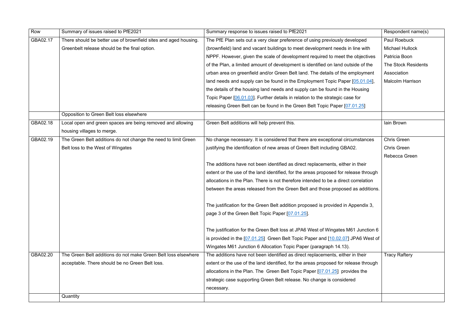| Row      | Summary of issues raised to PfE2021                              | Summary response to issues raised to PfE2021                                         | Respondent name(s)         |
|----------|------------------------------------------------------------------|--------------------------------------------------------------------------------------|----------------------------|
| GBA02.17 | There should be better use of brownfield sites and aged housing. | The PfE Plan sets out a very clear preference of using previously developed          | Paul Roebuck               |
|          | Greenbelt release should be the final option.                    | (brownfield) land and vacant buildings to meet development needs in line with        | <b>Michael Hullock</b>     |
|          |                                                                  | NPPF. However, given the scale of development required to meet the objectives        | Patricia Boon              |
|          |                                                                  | of the Plan, a limited amount of development is identified on land outside of the    | <b>The Stock Residents</b> |
|          |                                                                  | urban area on greenfield and/or Green Belt land. The details of the employment       | Association                |
|          |                                                                  | land needs and supply can be found in the Employment Topic Paper [05.01.04],         | <b>Malcolm Harrison</b>    |
|          |                                                                  | the details of the housing land needs and supply can be found in the Housing         |                            |
|          |                                                                  | Topic Paper [06.01.03]. Further details in relation to the strategic case for        |                            |
|          |                                                                  | releasing Green Belt can be found in the Green Belt Topic Paper [07.01.25]           |                            |
|          | Opposition to Green Belt loss elsewhere                          |                                                                                      |                            |
| GBA02.18 | Local open and green spaces are being removed and allowing       | Green Belt additions will help prevent this.                                         | lain Brown                 |
|          | housing villages to merge.                                       |                                                                                      |                            |
| GBA02.19 | The Green Belt additions do not change the need to limit Green   | No change necessary. It is considered that there are exceptional circumstances       | <b>Chris Green</b>         |
|          | Belt loss to the West of Wingates                                | justifying the identification of new areas of Green Belt including GBA02.            | <b>Chris Green</b>         |
|          |                                                                  |                                                                                      | Rebecca Green              |
|          |                                                                  | The additions have not been identified as direct replacements, either in their       |                            |
|          |                                                                  | extent or the use of the land identified, for the areas proposed for release through |                            |
|          |                                                                  | allocations in the Plan. There is not therefore intended to be a direct correlation  |                            |
|          |                                                                  | between the areas released from the Green Belt and those proposed as additions.      |                            |
|          |                                                                  |                                                                                      |                            |
|          |                                                                  | The justification for the Green Belt addition proposed is provided in Appendix 3,    |                            |
|          |                                                                  | page 3 of the Green Belt Topic Paper [07.01.25].                                     |                            |
|          |                                                                  |                                                                                      |                            |
|          |                                                                  | The justification for the Green Belt loss at JPA6 West of Wingates M61 Junction 6    |                            |
|          |                                                                  | is provided in the [07.01.25] Green Belt Topic Paper and [10.02.07] JPA6 West of     |                            |
|          |                                                                  | Wingates M61 Junction 6 Allocation Topic Paper (paragraph 14.13).                    |                            |
| GBA02.20 | The Green Belt additions do not make Green Belt loss elsewhere   | The additions have not been identified as direct replacements, either in their       | <b>Tracy Raftery</b>       |
|          | acceptable. There should be no Green Belt loss.                  | extent or the use of the land identified, for the areas proposed for release through |                            |
|          |                                                                  | allocations in the Plan. The Green Belt Topic Paper $[07.01.25]$ provides the        |                            |
|          |                                                                  | strategic case supporting Green Belt release. No change is considered                |                            |
|          |                                                                  | necessary.                                                                           |                            |
|          | Quantity                                                         |                                                                                      |                            |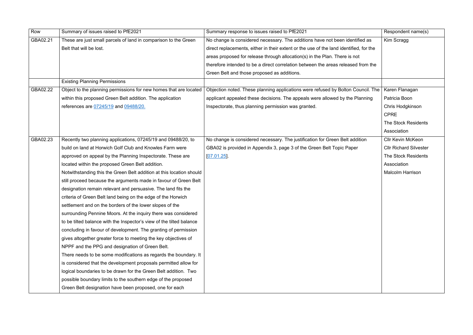| Row      | Summary of issues raised to PfE2021                                  | Summary response to issues raised to PfE2021                                           | Respondent name(s)            |
|----------|----------------------------------------------------------------------|----------------------------------------------------------------------------------------|-------------------------------|
| GBA02.21 | These are just small parcels of land in comparison to the Green      | No change is considered necessary. The additions have not been identified as           | Kim Scragg                    |
|          | Belt that will be lost.                                              | direct replacements, either in their extent or the use of the land identified, for the |                               |
|          |                                                                      | areas proposed for release through allocation(s) in the Plan. There is not             |                               |
|          |                                                                      | therefore intended to be a direct correlation between the areas released from the      |                               |
|          |                                                                      | Green Belt and those proposed as additions.                                            |                               |
|          | <b>Existing Planning Permissions</b>                                 |                                                                                        |                               |
| GBA02.22 | Object to the planning permissions for new homes that are located    | Objection noted. These planning applications were refused by Bolton Council. The       | Karen Flanagan                |
|          | within this proposed Green Belt addition. The application            | applicant appealed these decisions. The appeals were allowed by the Planning           | Patricia Boon                 |
|          | references are 07245/19 and 09488/20.                                | Inspectorate, thus planning permission was granted.                                    | Chris Hodgkinson              |
|          |                                                                      |                                                                                        | <b>CPRE</b>                   |
|          |                                                                      |                                                                                        | <b>The Stock Residents</b>    |
|          |                                                                      |                                                                                        | Association                   |
| GBA02.23 | Recently two planning applications, 07245/19 and 09488/20, to        | No change is considered necessary. The justification for Green Belt addition           | <b>Cllr Kevin McKeon</b>      |
|          | build on land at Horwich Golf Club and Knowles Farm were             | GBA02 is provided in Appendix 3, page 3 of the Green Belt Topic Paper                  | <b>Cllr Richard Silvester</b> |
|          | approved on appeal by the Planning Inspectorate. These are           | $[07.01.25]$ .                                                                         | The Stock Residents           |
|          | located within the proposed Green Belt addition.                     |                                                                                        | Association                   |
|          | Notwithstanding this the Green Belt addition at this location should |                                                                                        | <b>Malcolm Harrison</b>       |
|          | still proceed because the arguments made in favour of Green Belt     |                                                                                        |                               |
|          | designation remain relevant and persuasive. The land fits the        |                                                                                        |                               |
|          | criteria of Green Belt land being on the edge of the Horwich         |                                                                                        |                               |
|          | settlement and on the borders of the lower slopes of the             |                                                                                        |                               |
|          | surrounding Pennine Moors. At the inquiry there was considered       |                                                                                        |                               |
|          | to be tilted balance with the Inspector's view of the tilted balance |                                                                                        |                               |
|          | concluding in favour of development. The granting of permission      |                                                                                        |                               |
|          | gives altogether greater force to meeting the key objectives of      |                                                                                        |                               |
|          | NPPF and the PPG and designation of Green Belt.                      |                                                                                        |                               |
|          | There needs to be some modifications as regards the boundary. It     |                                                                                        |                               |
|          | is considered that the development proposals permitted allow for     |                                                                                        |                               |
|          | logical boundaries to be drawn for the Green Belt addition. Two      |                                                                                        |                               |
|          | possible boundary limits to the southern edge of the proposed        |                                                                                        |                               |
|          | Green Belt designation have been proposed, one for each              |                                                                                        |                               |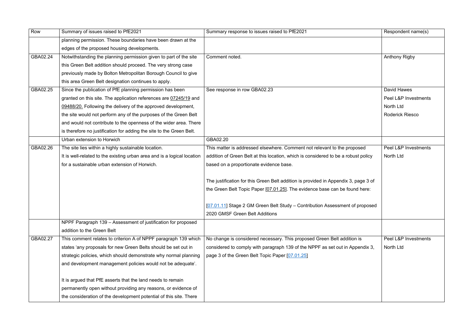| Row      | Summary of issues raised to PfE2021                                     | Summary response to issues raised to PfE2021                                        | Respondent name(s)     |
|----------|-------------------------------------------------------------------------|-------------------------------------------------------------------------------------|------------------------|
|          | planning permission. These boundaries have been drawn at the            |                                                                                     |                        |
|          | edges of the proposed housing developments.                             |                                                                                     |                        |
| GBA02.24 | Notwithstanding the planning permission given to part of the site       | Comment noted.                                                                      | <b>Anthony Rigby</b>   |
|          | this Green Belt addition should proceed. The very strong case           |                                                                                     |                        |
|          | previously made by Bolton Metropolitan Borough Council to give          |                                                                                     |                        |
|          | this area Green Belt designation continues to apply.                    |                                                                                     |                        |
| GBA02.25 | Since the publication of PfE planning permission has been               | See response in row GBA02.23                                                        | <b>David Hawes</b>     |
|          | granted on this site. The application references are 07245/19 and       |                                                                                     | Peel L&P Investments   |
|          | 09488/20. Following the delivery of the approved development,           |                                                                                     | North Ltd              |
|          | the site would not perform any of the purposes of the Green Belt        |                                                                                     | <b>Roderick Riesco</b> |
|          | and would not contribute to the openness of the wider area. There       |                                                                                     |                        |
|          | is therefore no justification for adding the site to the Green Belt.    |                                                                                     |                        |
|          | Urban extension to Horwich                                              | GBA02.20                                                                            |                        |
| GBA02.26 | The site lies within a highly sustainable location.                     | This matter is addressed elsewhere. Comment not relevant to the proposed            | Peel L&P Investments   |
|          | It is well-related to the existing urban area and is a logical location | addition of Green Belt at this location, which is considered to be a robust policy  | North Ltd              |
|          | for a sustainable urban extension of Horwich.                           | based on a proportionate evidence base.                                             |                        |
|          |                                                                         | The justification for this Green Belt addition is provided in Appendix 3, page 3 of |                        |
|          |                                                                         | the Green Belt Topic Paper [07.01.25]. The evidence base can be found here:         |                        |
|          |                                                                         | [07.01.11] Stage 2 GM Green Belt Study – Contribution Assessment of proposed        |                        |
|          |                                                                         | 2020 GMSF Green Belt Additions                                                      |                        |
|          | NPPF Paragraph 139 - Assessment of justification for proposed           |                                                                                     |                        |
|          | addition to the Green Belt                                              |                                                                                     |                        |
| GBA02.27 | This comment relates to criterion A of NPPF paragraph 139 which         | No change is considered necessary. This proposed Green Belt addition is             | Peel L&P Investments   |
|          | states 'any proposals for new Green Belts should be set out in          | considered to comply with paragraph 139 of the NPPF as set out in Appendix 3,       | North Ltd              |
|          | strategic policies, which should demonstrate why normal planning        | page 3 of the Green Belt Topic Paper [07.01.25]                                     |                        |
|          | and development management policies would not be adequate'.             |                                                                                     |                        |
|          | It is argued that PfE asserts that the land needs to remain             |                                                                                     |                        |
|          | permanently open without providing any reasons, or evidence of          |                                                                                     |                        |
|          | the consideration of the development potential of this site. There      |                                                                                     |                        |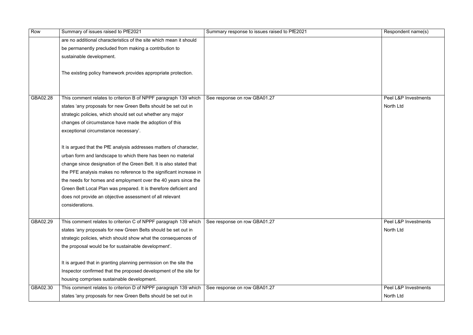| Row      | Summary of issues raised to PfE2021                                | Summary response to issues raised to PfE2021 | Respondent name(s)   |
|----------|--------------------------------------------------------------------|----------------------------------------------|----------------------|
|          | are no additional characteristics of the site which mean it should |                                              |                      |
|          | be permanently precluded from making a contribution to             |                                              |                      |
|          | sustainable development.                                           |                                              |                      |
|          |                                                                    |                                              |                      |
|          | The existing policy framework provides appropriate protection.     |                                              |                      |
|          |                                                                    |                                              |                      |
|          |                                                                    |                                              |                      |
| GBA02.28 | This comment relates to criterion B of NPPF paragraph 139 which    | See response on row GBA01.27                 | Peel L&P Investments |
|          | states 'any proposals for new Green Belts should be set out in     |                                              | North Ltd            |
|          | strategic policies, which should set out whether any major         |                                              |                      |
|          | changes of circumstance have made the adoption of this             |                                              |                      |
|          | exceptional circumstance necessary'.                               |                                              |                      |
|          | It is argued that the PfE analysis addresses matters of character, |                                              |                      |
|          | urban form and landscape to which there has been no material       |                                              |                      |
|          | change since designation of the Green Belt. It is also stated that |                                              |                      |
|          | the PFE analysis makes no reference to the significant increase in |                                              |                      |
|          | the needs for homes and employment over the 40 years since the     |                                              |                      |
|          | Green Belt Local Plan was prepared. It is therefore deficient and  |                                              |                      |
|          | does not provide an objective assessment of all relevant           |                                              |                      |
|          | considerations.                                                    |                                              |                      |
| GBA02.29 | This comment relates to criterion C of NPPF paragraph 139 which    | See response on row GBA01.27                 | Peel L&P Investments |
|          | states 'any proposals for new Green Belts should be set out in     |                                              | North Ltd            |
|          | strategic policies, which should show what the consequences of     |                                              |                      |
|          | the proposal would be for sustainable development'.                |                                              |                      |
|          | It is argued that in granting planning permission on the site the  |                                              |                      |
|          | Inspector confirmed that the proposed development of the site for  |                                              |                      |
|          | housing comprises sustainable development.                         |                                              |                      |
| GBA02.30 | This comment relates to criterion D of NPPF paragraph 139 which    | See response on row GBA01.27                 | Peel L&P Investments |
|          | states 'any proposals for new Green Belts should be set out in     |                                              | North Ltd            |
|          |                                                                    |                                              |                      |

| Respondent name(s)                           |
|----------------------------------------------|
|                                              |
|                                              |
| Peel L&P Investments<br>North Ltd            |
| <b>Peel L&amp;P Investments</b>              |
| North Ltd                                    |
| <b>Peel L&amp;P Investments</b><br>North Ltd |
|                                              |